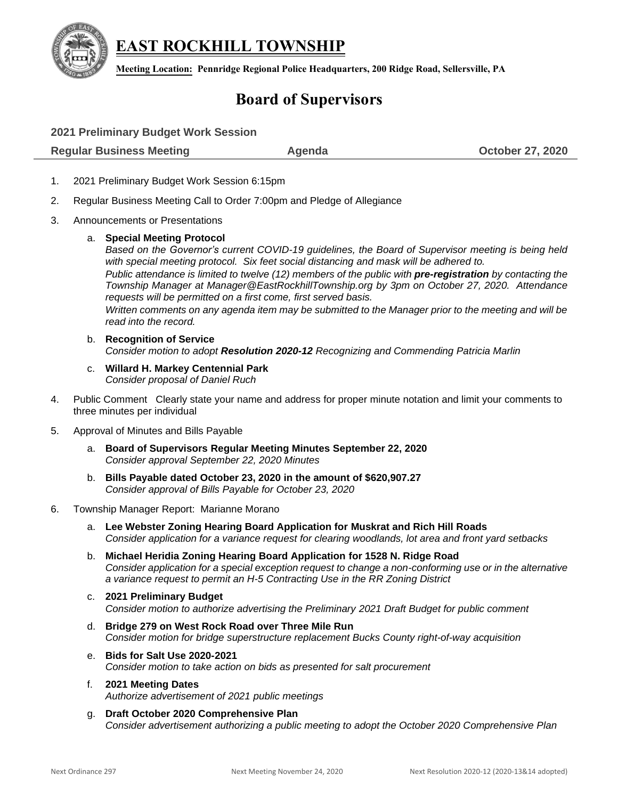

**EAST ROCKHILL TOWNSHIP**

**Meeting Location: Pennridge Regional Police Headquarters, 200 Ridge Road, Sellersville, PA**

# **Board of Supervisors**

| 2021 Preliminary Budget Work Session |        |                         |
|--------------------------------------|--------|-------------------------|
| <b>Regular Business Meeting</b>      | Agenda | <b>October 27, 2020</b> |

- 1. 2021 Preliminary Budget Work Session 6:15pm
- 2. Regular Business Meeting Call to Order 7:00pm and Pledge of Allegiance
- 3. Announcements or Presentations

## a. **Special Meeting Protocol**

*Based on the Governor's current COVID-19 guidelines, the Board of Supervisor meeting is being held with special meeting protocol. Six feet social distancing and mask will be adhered to.* 

*Public attendance is limited to twelve (12) members of the public with pre-registration by contacting the Township Manager at [Manager@EastRockhillTownship.org](mailto:Manager@EastRockhillTownship.org) by 3pm on October 27, 2020. Attendance requests will be permitted on a first come, first served basis.* 

*Written comments on any agenda item may be submitted to the Manager prior to the meeting and will be read into the record.*

- b. **Recognition of Service** *Consider motion to adopt Resolution 2020-12 Recognizing and Commending Patricia Marlin*
- c. **Willard H. Markey Centennial Park** *Consider proposal of Daniel Ruch*
- 4. Public Comment Clearly state your name and address for proper minute notation and limit your comments to three minutes per individual
- 5. Approval of Minutes and Bills Payable
	- a. **Board of Supervisors Regular Meeting Minutes September 22, 2020** *Consider approval September 22, 2020 Minutes*
	- b. **Bills Payable dated October 23, 2020 in the amount of \$620,907.27** *Consider approval of Bills Payable for October 23, 2020*

#### 6. Township Manager Report: Marianne Morano

- a. **Lee Webster Zoning Hearing Board Application for Muskrat and Rich Hill Roads** *Consider application for a variance request for clearing woodlands, lot area and front yard setbacks*
- b. **Michael Heridia Zoning Hearing Board Application for 1528 N. Ridge Road** *Consider application for a special exception request to change a non-conforming use or in the alternative a variance request to permit an H-5 Contracting Use in the RR Zoning District*
- c. **2021 Preliminary Budget**  *Consider motion to authorize advertising the Preliminary 2021 Draft Budget for public comment*
- d. **Bridge 279 on West Rock Road over Three Mile Run** *Consider motion for bridge superstructure replacement Bucks County right-of-way acquisition*
- e. **Bids for Salt Use 2020-2021** *Consider motion to take action on bids as presented for salt procurement*
- f. **2021 Meeting Dates** *Authorize advertisement of 2021 public meetings*
- g. **Draft October 2020 Comprehensive Plan** *Consider advertisement authorizing a public meeting to adopt the October 2020 Comprehensive Plan*